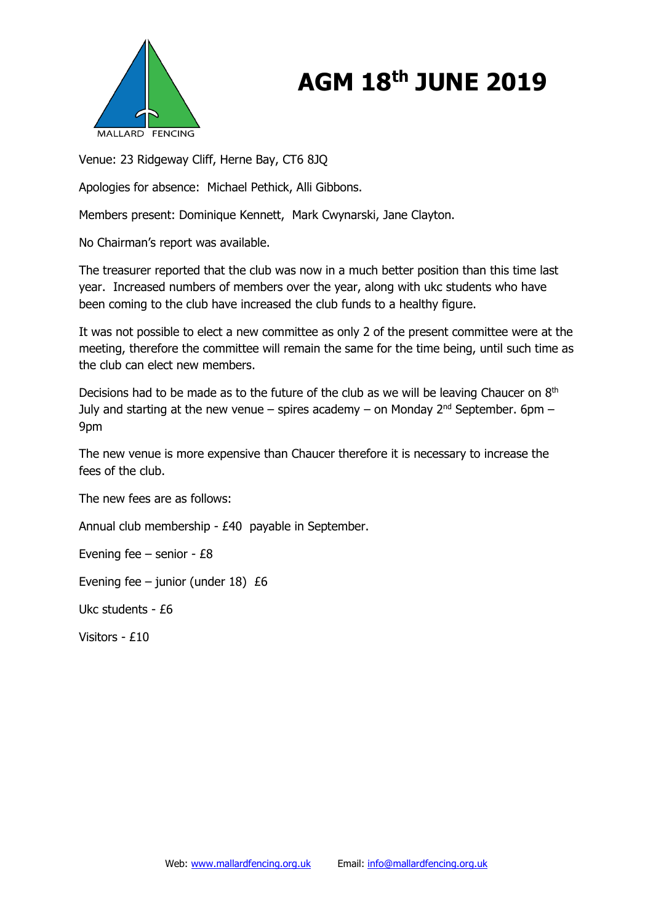

## **AGM 18th JUNE 2019**

Venue: 23 Ridgeway Cliff, Herne Bay, CT6 8JQ

Apologies for absence: Michael Pethick, Alli Gibbons.

Members present: Dominique Kennett, Mark Cwynarski, Jane Clayton.

No Chairman's report was available.

The treasurer reported that the club was now in a much better position than this time last year. Increased numbers of members over the year, along with ukc students who have been coming to the club have increased the club funds to a healthy figure.

It was not possible to elect a new committee as only 2 of the present committee were at the meeting, therefore the committee will remain the same for the time being, until such time as the club can elect new members.

Decisions had to be made as to the future of the club as we will be leaving Chaucer on  $8<sup>th</sup>$ July and starting at the new venue – spires academy – on Monday  $2^{nd}$  September. 6pm – 9pm

The new venue is more expensive than Chaucer therefore it is necessary to increase the fees of the club.

The new fees are as follows:

Annual club membership - £40 payable in September.

Evening fee – senior - £8

Evening fee – junior (under  $18$ ) £6

Ukc students - £6

Visitors - £10